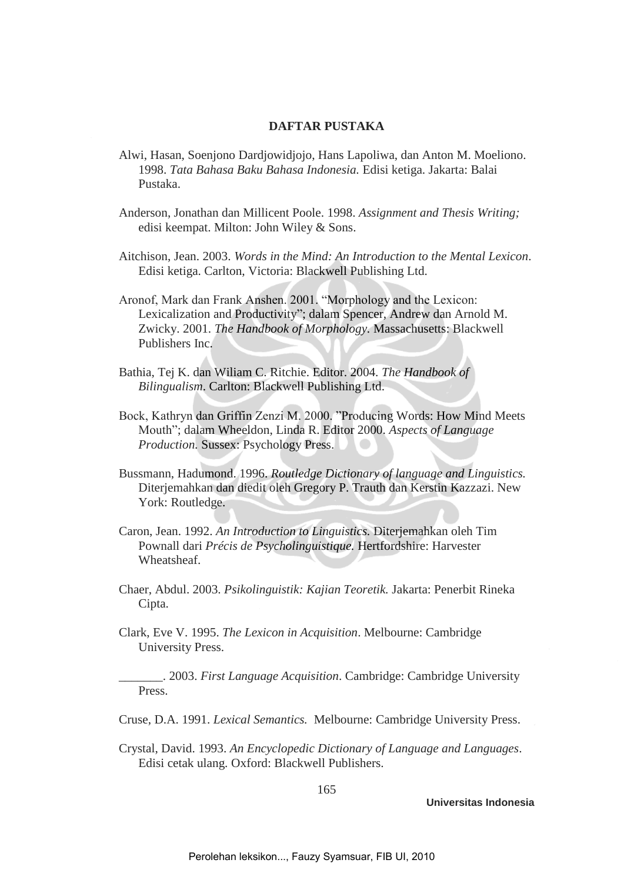## **DAFTAR PUSTAKA**

- Alwi, Hasan, Soenjono Dardjowidjojo, Hans Lapoliwa, dan Anton M. Moeliono. 1998. *Tata Bahasa Baku Bahasa Indonesia.* Edisi ketiga. Jakarta: Balai Pustaka.
- Anderson, Jonathan dan Millicent Poole. 1998. *Assignment and Thesis Writing;*  edisi keempat. Milton: John Wiley & Sons.
- Aitchison, Jean. 2003. *Words in the Mind: An Introduction to the Mental Lexicon*. Edisi ketiga. Carlton, Victoria: Blackwell Publishing Ltd.
- Aronof, Mark dan Frank Anshen. 2001. "Morphology and the Lexicon: Lexicalization and Productivity"; dalam Spencer, Andrew dan Arnold M. Zwicky. 2001. *The Handbook of Morphology.* Massachusetts: Blackwell Publishers Inc.
- Bathia, Tej K. dan Wiliam C. Ritchie. Editor. 2004. *The Handbook of Bilingualism*. Carlton: Blackwell Publishing Ltd.
- Bock, Kathryn dan Griffin Zenzi M. 2000. "Producing Words: How Mind Meets Mouth"; dalam Wheeldon, Linda R. Editor 2000. *Aspects of Language Production.* Sussex: Psychology Press.
- Bussmann, Hadumond. 1996. *Routledge Dictionary of language and Linguistics.* Diterjemahkan dan diedit oleh Gregory P. Trauth dan Kerstin Kazzazi. New York: Routledge.
- Caron, Jean. 1992. *An Introduction to Linguistics.* Diterjemahkan oleh Tim Pownall dari *Précis de Psycholinguistique.* Hertfordshire: Harvester Wheatsheaf.
- Chaer, Abdul. 2003. *Psikolinguistik: Kajian Teoretik.* Jakarta: Penerbit Rineka Cipta.
- Clark, Eve V. 1995. *The Lexicon in Acquisition*. Melbourne: Cambridge University Press.

\_\_\_\_\_\_\_. 2003. *First Language Acquisition*. Cambridge: Cambridge University Press.

Cruse, D.A. 1991. *Lexical Semantics.* Melbourne: Cambridge University Press.

Crystal, David. 1993. *An Encyclopedic Dictionary of Language and Languages*. Edisi cetak ulang*.* Oxford: Blackwell Publishers.

165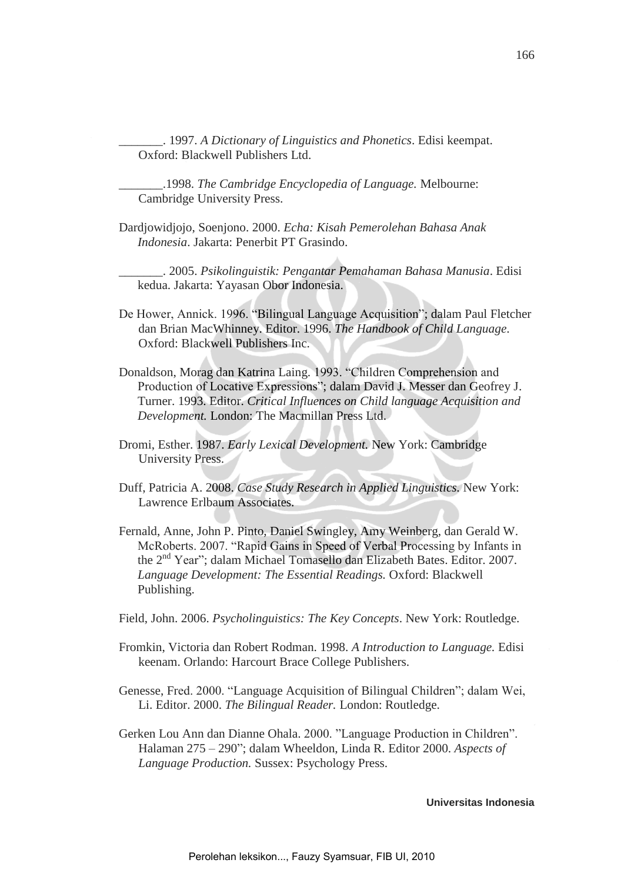\_\_\_\_\_\_\_. 1997. *A Dictionary of Linguistics and Phonetics*. Edisi keempat. Oxford: Blackwell Publishers Ltd.

\_\_\_\_\_\_\_.1998. *The Cambridge Encyclopedia of Language.* Melbourne: Cambridge University Press.

Dardjowidjojo, Soenjono. 2000. *Echa: Kisah Pemerolehan Bahasa Anak Indonesia*. Jakarta: Penerbit PT Grasindo.

\_\_\_\_\_\_\_. 2005. *Psikolinguistik: Pengantar Pemahaman Bahasa Manusia*. Edisi kedua. Jakarta: Yayasan Obor Indonesia.

- De Hower, Annick. 1996. "Bilingual Language Acquisition"; dalam Paul Fletcher dan Brian MacWhinney. Editor. 1996. *The Handbook of Child Language*. Oxford: Blackwell Publishers Inc.
- Donaldson, Morag dan Katrina Laing. 1993. "Children Comprehension and Production of Locative Expressions"; dalam David J. Messer dan Geofrey J. Turner. 1993. Editor. *Critical Influences on Child language Acquisition and Development.* London: The Macmillan Press Ltd.
- Dromi, Esther. 1987. *Early Lexical Development.* New York: Cambridge University Press.
- Duff, Patricia A. 2008. *Case Study Research in Applied Linguistics.* New York: Lawrence Erlbaum Associates.
- Fernald, Anne, John P. Pinto, Daniel Swingley, Amy Weinberg, dan Gerald W. McRoberts. 2007. "Rapid Gains in Speed of Verbal Processing by Infants in the 2nd Year"; dalam Michael Tomasello dan Elizabeth Bates. Editor. 2007. *Language Development: The Essential Readings.* Oxford: Blackwell Publishing.

Field, John. 2006. *Psycholinguistics: The Key Concepts*. New York: Routledge.

- Fromkin, Victoria dan Robert Rodman. 1998. *A Introduction to Language.* Edisi keenam. Orlando: Harcourt Brace College Publishers.
- Genesse, Fred. 2000. "Language Acquisition of Bilingual Children"; dalam Wei, Li. Editor. 2000. *The Bilingual Reader.* London: Routledge.
- Gerken Lou Ann dan Dianne Ohala. 2000. "Language Production in Children". Halaman 275 – 290"; dalam Wheeldon, Linda R. Editor 2000. *Aspects of Language Production.* Sussex: Psychology Press.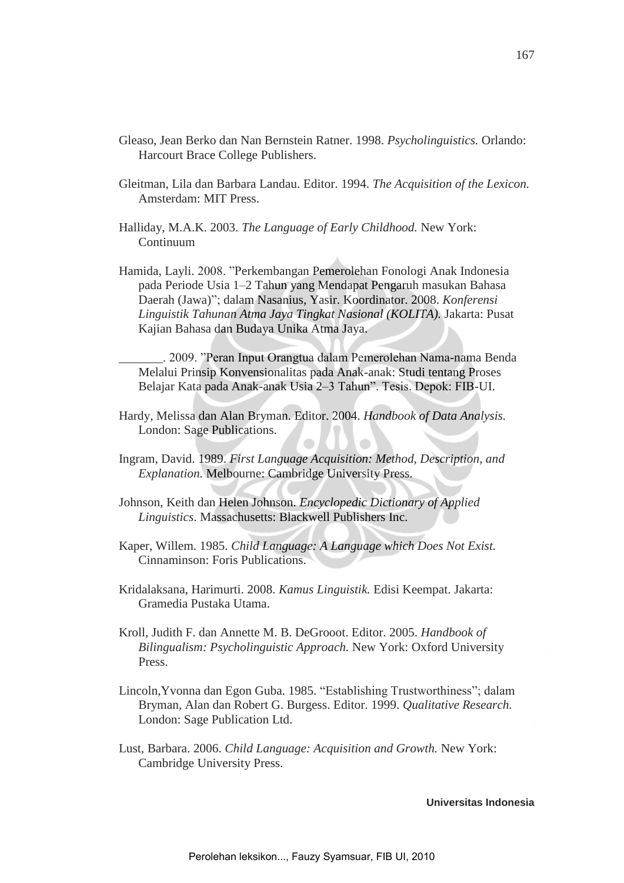- Gleaso, Jean Berko dan Nan Bernstein Ratner. 1998. *Psycholinguistics.* Orlando: Harcourt Brace College Publishers.
- Gleitman, Lila dan Barbara Landau. Editor. 1994. *The Acquisition of the Lexicon.*  Amsterdam: MIT Press.
- Halliday, M.A.K. 2003. *The Language of Early Childhood.* New York: Continuum
- Hamida, Layli. 2008. "Perkembangan Pemerolehan Fonologi Anak Indonesia pada Periode Usia 1–2 Tahun yang Mendapat Pengaruh masukan Bahasa Daerah (Jawa)"; dalam Nasanius, Yasir. Koordinator. 2008. *Konferensi Linguistik Tahunan Atma Jaya Tingkat Nasional (KOLITA).* Jakarta: Pusat Kajian Bahasa dan Budaya Unika Atma Jaya.
	- \_\_\_\_\_\_\_. 2009. "Peran Input Orangtua dalam Pemerolehan Nama-nama Benda Melalui Prinsip Konvensionalitas pada Anak-anak: Studi tentang Proses Belajar Kata pada Anak-anak Usia 2–3 Tahun". Tesis. Depok: FIB-UI.
- Hardy, Melissa dan Alan Bryman. Editor. 2004. *Handbook of Data Analysis.*  London: Sage Publications.
- Ingram, David. 1989. *First Language Acquisition: Method, Description, and Explanation.* Melbourne: Cambridge University Press.
- Johnson, Keith dan Helen Johnson. *Encyclopedic Dictionary of Applied Linguistics*. Massachusetts: Blackwell Publishers Inc.
- Kaper, Willem. 1985. *Child Language: A Language which Does Not Exist.*  Cinnaminson: Foris Publications.
- Kridalaksana, Harimurti. 2008. *Kamus Linguistik.* Edisi Keempat. Jakarta: Gramedia Pustaka Utama.
- Kroll, Judith F. dan Annette M. B. DeGrooot. Editor. 2005. *Handbook of Bilingualism: Psycholinguistic Approach.* New York: Oxford University Press.
- Lincoln,Yvonna dan Egon Guba. 1985. "Establishing Trustworthiness"; dalam Bryman, Alan dan Robert G. Burgess. Editor. 1999. *Qualitative Research.* London: Sage Publication Ltd.
- Lust, Barbara. 2006. *Child Language: Acquisition and Growth.* New York: Cambridge University Press.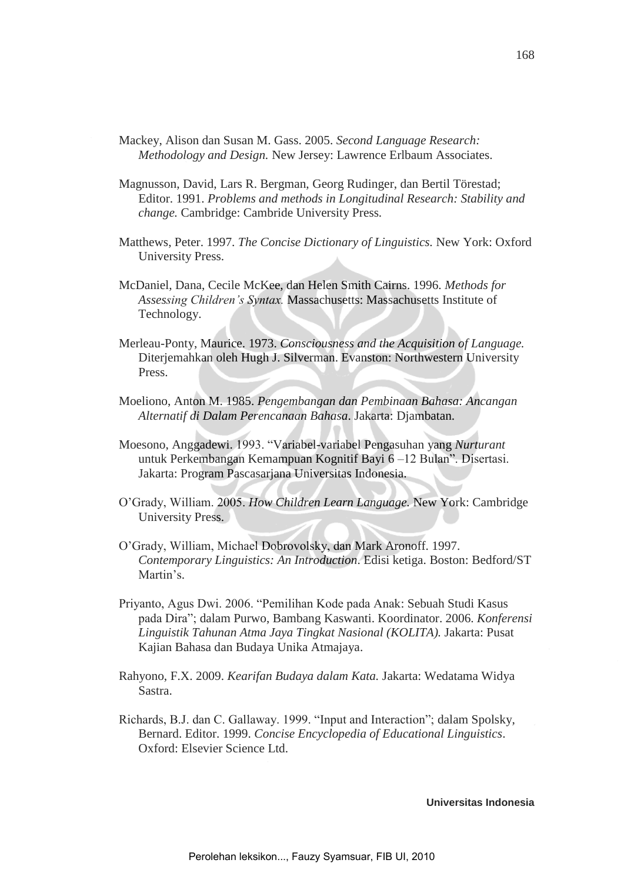- Mackey, Alison dan Susan M. Gass. 2005. *Second Language Research: Methodology and Design.* New Jersey: Lawrence Erlbaum Associates.
- Magnusson, David, Lars R. Bergman, Georg Rudinger, dan Bertil Törestad; Editor. 1991. *Problems and methods in Longitudinal Research: Stability and change.* Cambridge: Cambride University Press*.*
- Matthews, Peter. 1997. *The Concise Dictionary of Linguistics.* New York: Oxford University Press.
- McDaniel, Dana, Cecile McKee, dan Helen Smith Cairns. 1996. *Methods for Assessing Children's Syntax.* Massachusetts: Massachusetts Institute of Technology.
- Merleau-Ponty, Maurice. 1973. *Consciousness and the Acquisition of Language.* Diterjemahkan oleh Hugh J. Silverman. Evanston: Northwestern University Press.
- Moeliono, Anton M. 1985. *Pengembangan dan Pembinaan Bahasa: Ancangan Alternatif di Dalam Perencanaan Bahasa*. Jakarta: Djambatan.
- Moesono, Anggadewi. 1993. "Variabel-variabel Pengasuhan yang *Nurturant* untuk Perkembangan Kemampuan Kognitif Bayi 6 –12 Bulan". Disertasi. Jakarta: Program Pascasarjana Universitas Indonesia.
- O'Grady, William. 2005. *How Children Learn Language.* New York: Cambridge University Press.
- O'Grady, William, Michael Dobrovolsky, dan Mark Aronoff. 1997. *Contemporary Linguistics: An Introduction*. Edisi ketiga. Boston: Bedford/ST Martin's.
- Priyanto, Agus Dwi. 2006. "Pemilihan Kode pada Anak: Sebuah Studi Kasus pada Dira"; dalam Purwo, Bambang Kaswanti. Koordinator. 2006. *Konferensi Linguistik Tahunan Atma Jaya Tingkat Nasional (KOLITA).* Jakarta: Pusat Kajian Bahasa dan Budaya Unika Atmajaya.
- Rahyono, F.X. 2009. *Kearifan Budaya dalam Kata.* Jakarta: Wedatama Widya Sastra.
- Richards, B.J. dan C. Gallaway. 1999. "Input and Interaction"; dalam Spolsky, Bernard. Editor. 1999. *Concise Encyclopedia of Educational Linguistics*. Oxford: Elsevier Science Ltd.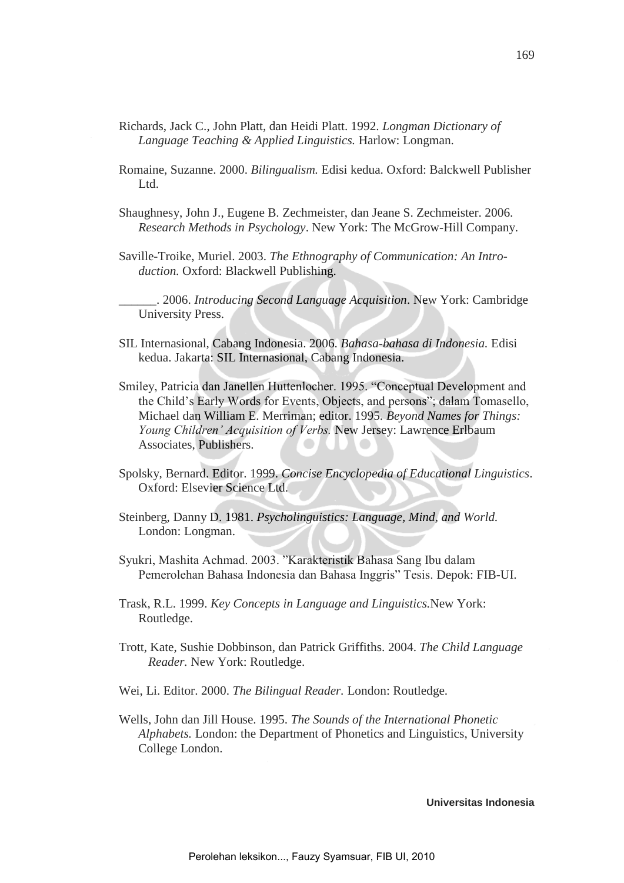- Richards, Jack C., John Platt, dan Heidi Platt. 1992. *Longman Dictionary of Language Teaching & Applied Linguistics.* Harlow: Longman.
- Romaine, Suzanne. 2000. *Bilingualism.* Edisi kedua. Oxford: Balckwell Publisher Ltd.
- Shaughnesy, John J., Eugene B. Zechmeister, dan Jeane S. Zechmeister. 2006. *Research Methods in Psychology*. New York: The McGrow-Hill Company.
- Saville-Troike, Muriel. 2003. *The Ethnography of Communication: An Introduction.* Oxford: Blackwell Publishing.

\_\_\_\_\_\_. 2006. *Introducing Second Language Acquisition*. New York: Cambridge University Press.

- SIL Internasional, Cabang Indonesia. 2006. *Bahasa-bahasa di Indonesia.* Edisi kedua. Jakarta: SIL Internasional, Cabang Indonesia.
- Smiley, Patricia dan Janellen Huttenlocher. 1995. "Conceptual Development and the Child's Early Words for Events, Objects, and persons"; dalam Tomasello, Michael dan William E. Merriman; editor. 1995. *Beyond Names for Things: Young Children' Acquisition of Verbs.* New Jersey: Lawrence Erlbaum Associates, Publishers.
- Spolsky, Bernard. Editor. 1999. *Concise Encyclopedia of Educational Linguistics*. Oxford: Elsevier Science Ltd.
- Steinberg, Danny D. 1981. *Psycholinguistics: Language, Mind, and World.* London: Longman.
- Syukri, Mashita Achmad. 2003. "Karakteristik Bahasa Sang Ibu dalam Pemerolehan Bahasa Indonesia dan Bahasa Inggris" Tesis. Depok: FIB-UI.
- Trask, R.L. 1999. *Key Concepts in Language and Linguistics.*New York: Routledge.
- Trott, Kate, Sushie Dobbinson, dan Patrick Griffiths. 2004. *The Child Language Reader.* New York: Routledge.
- Wei, Li. Editor. 2000. *The Bilingual Reader.* London: Routledge.
- Wells, John dan Jill House. 1995. *The Sounds of the International Phonetic Alphabets.* London: the Department of Phonetics and Linguistics, University College London.